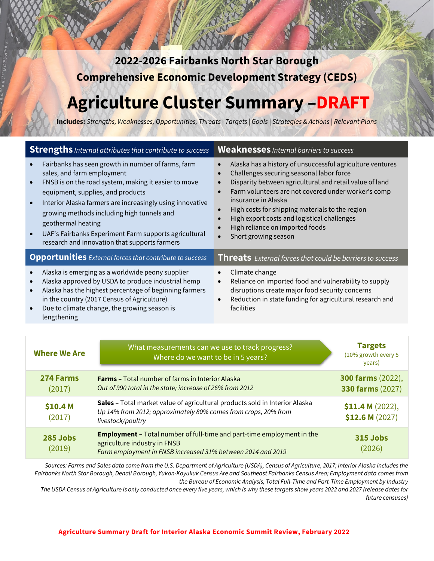**2022-2026 Fairbanks North Star Borough Comprehensive Economic Development Strategy (CEDS)** 

# **Agriculture Cluster Summary –DRAFT**

**Includes:** *Strengths, Weaknesses, Opportunities, Threats | Targets | Goals | Strategies & Actions | Relevant Plans*

| <b>Strengths</b> Internal attributes that contribute to success                                                                                                                                                                                                                                                                                                                                                                                    | <b>Weaknesses</b> Internal barriers to success                                                                                                                                                                                                                                                                                                                                                              |  |
|----------------------------------------------------------------------------------------------------------------------------------------------------------------------------------------------------------------------------------------------------------------------------------------------------------------------------------------------------------------------------------------------------------------------------------------------------|-------------------------------------------------------------------------------------------------------------------------------------------------------------------------------------------------------------------------------------------------------------------------------------------------------------------------------------------------------------------------------------------------------------|--|
| Fairbanks has seen growth in number of farms, farm<br>sales, and farm employment<br>FNSB is on the road system, making it easier to move<br>equipment, supplies, and products<br>Interior Alaska farmers are increasingly using innovative<br>$\bullet$<br>growing methods including high tunnels and<br>geothermal heating<br>UAF's Fairbanks Experiment Farm supports agricultural<br>$\bullet$<br>research and innovation that supports farmers | Alaska has a history of unsuccessful agriculture ventures<br>Challenges securing seasonal labor force<br>Disparity between agricultural and retail value of land<br>Farm volunteers are not covered under worker's comp<br>insurance in Alaska<br>High costs for shipping materials to the region<br>High export costs and logistical challenges<br>High reliance on imported foods<br>Short growing season |  |
| <b>Opportunities</b> External forces that contribute to success                                                                                                                                                                                                                                                                                                                                                                                    | <b>Threats</b> External forces that could be barriers to success                                                                                                                                                                                                                                                                                                                                            |  |
| Alaska is emerging as a worldwide peony supplier<br>Alaska approved by USDA to produce industrial hemp<br>Alaska has the highest percentage of beginning farmers<br>in the country (2017 Census of Agriculture)<br>Due to climate change, the growing season is<br>lengthening                                                                                                                                                                     | Climate change<br>Reliance on imported food and vulnerability to supply<br>$\bullet$<br>disruptions create major food security concerns<br>Reduction in state funding for agricultural research and<br>facilities                                                                                                                                                                                           |  |

| <b>Where We Are</b> | What measurements can we use to track progress?<br>Where do we want to be in 5 years?                                                                                        | <b>Targets</b><br>(10% growth every 5<br>years) |
|---------------------|------------------------------------------------------------------------------------------------------------------------------------------------------------------------------|-------------------------------------------------|
| 274 Farms<br>(2017) | <b>Farms - Total number of farms in Interior Alaska</b><br>Out of 990 total in the state; increase of 26% from 2012                                                          | <b>300 farms (2022),</b><br>330 farms (2027)    |
| \$10.4 M<br>(2017)  | Sales - Total market value of agricultural products sold in Interior Alaska<br>Up 14% from 2012; approximately 80% comes from crops, 20% from<br>livestock/poultry           | \$11.4 M (2022),<br>\$12.6 M (2027)             |
| 285 Jobs<br>(2019)  | <b>Employment - Total number of full-time and part-time employment in the</b><br>agriculture industry in FNSB<br>Farm employment in FNSB increased 31% between 2014 and 2019 | <b>315 Jobs</b><br>(2026)                       |

*Sources: Farms and Sales data come from the U.S. Department of Agriculture (USDA), Census of Agriculture, 2017; Interior Alaska includes the Fairbanks North Star Borough, Denali Borough, Yukon-Koyukuk Census Are and Southeast Fairbanks Census Area; Employment data comes from the Bureau of Economic Analysis, Total Full-Time and Part-Time Employment by Industry*

*The USDA Census of Agriculture is only conducted once every five years, which is why these targets show years 2022 and 2027 (release dates for future censuses)*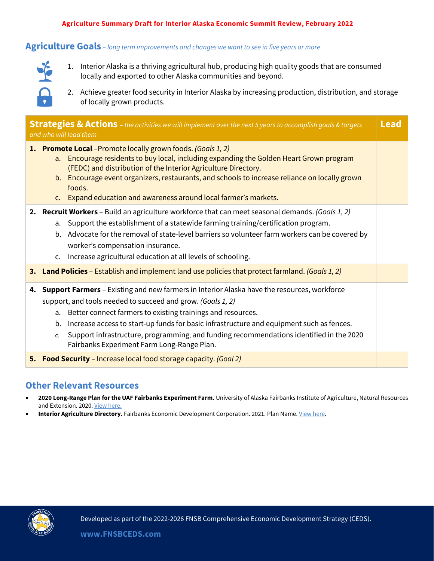#### **Agriculture Summary Draft for Interior Alaska Economic Summit Review, February 2022**

#### **Agriculture Goals** *– long term improvements and changes we want to see in five years or more*



1. Interior Alaska is a thriving agricultural hub, producing high quality goods that are consumed locally and exported to other Alaska communities and beyond.

2. Achieve greater food security in Interior Alaska by increasing production, distribution, and storage of locally grown products.

|    | <b>Strategies &amp; Actions</b> - the activities we will implement over the next 5 years to accomplish goals & targets<br>and who will lead them                                                                                                                                                                                                                                                                                                                                              | <b>Lead</b> |  |
|----|-----------------------------------------------------------------------------------------------------------------------------------------------------------------------------------------------------------------------------------------------------------------------------------------------------------------------------------------------------------------------------------------------------------------------------------------------------------------------------------------------|-------------|--|
|    | 1. Promote Local -Promote locally grown foods. (Goals 1, 2)<br>a. Encourage residents to buy local, including expanding the Golden Heart Grown program<br>(FEDC) and distribution of the Interior Agriculture Directory.<br>b. Encourage event organizers, restaurants, and schools to increase reliance on locally grown<br>foods.<br>c. Expand education and awareness around local farmer's markets.                                                                                       |             |  |
|    | 2. Recruit Workers - Build an agriculture workforce that can meet seasonal demands. (Goals 1, 2)<br>Support the establishment of a statewide farming training/certification program.<br>a.<br>Advocate for the removal of state-level barriers so volunteer farm workers can be covered by<br>b.<br>worker's compensation insurance.<br>Increase agricultural education at all levels of schooling.<br>$C_{\bullet}$                                                                          |             |  |
|    | <b>3. Land Policies</b> – Establish and implement land use policies that protect farmland. (Goals 1, 2)                                                                                                                                                                                                                                                                                                                                                                                       |             |  |
|    | <b>Support Farmers</b> - Existing and new farmers in Interior Alaska have the resources, workforce<br>4.<br>support, and tools needed to succeed and grow. (Goals 1, 2)<br>Better connect farmers to existing trainings and resources.<br>a.<br>Increase access to start-up funds for basic infrastructure and equipment such as fences.<br>b.<br>Support infrastructure, programming, and funding recommendations identified in the 2020<br>c.<br>Fairbanks Experiment Farm Long-Range Plan. |             |  |
| 5. | <b>Food Security</b> – Increase local food storage capacity. (Goal 2)                                                                                                                                                                                                                                                                                                                                                                                                                         |             |  |

### **Other Relevant Resources**

- **2020 Long-Range Plan for the UAF Fairbanks Experiment Farm.** University of Alaska Fairbanks Institute of Agriculture, Natural Resources and Extension. 2020[. View here.](https://uaf.edu/afes/places/fairbanks/2020%20Fairbanks%20Experiment%20Farm%20Plan.pdf)
- **Interior Agriculture Directory.** Fairbanks Economic Development Corporation. 2021. Plan Name[. View here.](https://www.investfairbanks.com/agriculture/)

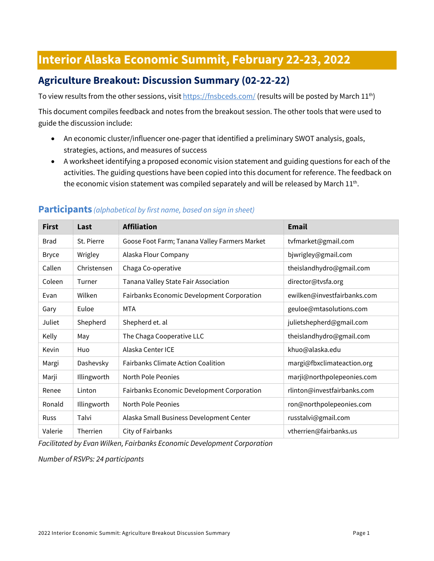## **Interior Alaska Economic Summit, February 22-23, 2022**

## **Agriculture Breakout: Discussion Summary (02-22-22)**

To view results from the other sessions, visi[t https://fnsbceds.com/](https://fnsbceds.com/) (results will be posted by March 11<sup>th</sup>)

This document compiles feedback and notes from the breakout session. The other tools that were used to guide the discussion include:

- An economic cluster/influencer one-pager that identified a preliminary SWOT analysis, goals, strategies, actions, and measures of success
- A worksheet identifying a proposed economic vision statement and guiding questions for each of the activities. The guiding questions have been copied into this document for reference. The feedback on the economic vision statement was compiled separately and will be released by March  $11^{th}$ .

| <b>First</b> | Last        | <b>Affiliation</b>                            | <b>Email</b>                |
|--------------|-------------|-----------------------------------------------|-----------------------------|
| <b>Brad</b>  | St. Pierre  | Goose Foot Farm; Tanana Valley Farmers Market | tvfmarket@gmail.com         |
| <b>Bryce</b> | Wrigley     | Alaska Flour Company                          | bjwrigley@gmail.com         |
| Callen       | Christensen | Chaga Co-operative                            | theislandhydro@gmail.com    |
| Coleen       | Turner      | Tanana Valley State Fair Association          | director@tvsfa.org          |
| Evan         | Wilken      | Fairbanks Economic Development Corporation    | ewilken@investfairbanks.com |
| Gary         | Euloe       | <b>MTA</b>                                    | geuloe@mtasolutions.com     |
| Juliet       | Shepherd    | Shepherd et. al                               | julietshepherd@gmail.com    |
| Kelly        | May         | The Chaga Cooperative LLC                     | theislandhydro@gmail.com    |
| Kevin        | Huo         | Alaska Center ICE                             | khuo@alaska.edu             |
| Margi        | Dashevsky   | <b>Fairbanks Climate Action Coalition</b>     | margi@fbxclimateaction.org  |
| Marji        | Illingworth | North Pole Peonies                            | marji@northpolepeonies.com  |
| Renee        | Linton      | Fairbanks Economic Development Corporation    | rlinton@investfairbanks.com |
| Ronald       | Illingworth | North Pole Peonies                            | ron@northpolepeonies.com    |
| <b>Russ</b>  | Talvi       | Alaska Small Business Development Center      | russtalvi@gmail.com         |
| Valerie      | Therrien    | City of Fairbanks                             | vtherrien@fairbanks.us      |

#### **Participants** *(alphabetical by first name, based on sign in sheet)*

*Facilitated by Evan Wilken, Fairbanks Economic Development Corporation*

*Number of RSVPs: 24 participants*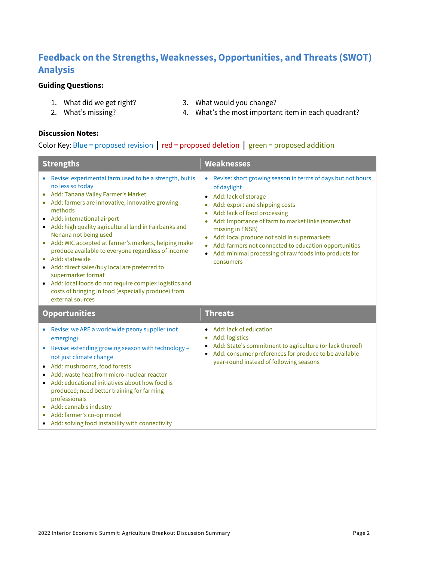## **Feedback on the Strengths, Weaknesses, Opportunities, and Threats (SWOT) Analysis**

#### **Guiding Questions:**

- -
- 1. What did we get right? 3. What would you change?
- 2. What's missing?
- 4. What's the most important item in each quadrant?

#### **Discussion Notes:**

#### Color Key: Blue = proposed revision **|** red = proposed deletion **|** green = proposed addition

| <b>Strengths</b>                                                                                                                                                                                                                                                                                                                                                                                                                                                                                                                                                                                                                                             | <b>Weaknesses</b>                                                                                                                                                                                                                                                                                                                                                                                                                                                   |  |
|--------------------------------------------------------------------------------------------------------------------------------------------------------------------------------------------------------------------------------------------------------------------------------------------------------------------------------------------------------------------------------------------------------------------------------------------------------------------------------------------------------------------------------------------------------------------------------------------------------------------------------------------------------------|---------------------------------------------------------------------------------------------------------------------------------------------------------------------------------------------------------------------------------------------------------------------------------------------------------------------------------------------------------------------------------------------------------------------------------------------------------------------|--|
| Revise: experimental farm used to be a strength, but is<br>no less so today<br>Add: Tanana Valley Farmer's Market<br>• Add: farmers are innovative; innovative growing<br>methods<br>Add: international airport<br>• Add: high quality agricultural land in Fairbanks and<br>Nenana not being used<br>Add: WIC accepted at farmer's markets, helping make<br>$\bullet$<br>produce available to everyone regardless of income<br>Add: statewide<br>• Add: direct sales/buy local are preferred to<br>supermarket format<br>• Add: local foods do not require complex logistics and<br>costs of bringing in food (especially produce) from<br>external sources | Revise: short growing season in terms of days but not hours<br>$\bullet$<br>of daylight<br>Add: lack of storage<br>Add: export and shipping costs<br>Add: lack of food processing<br>Add: Importance of farm to market links (somewhat<br>missing in FNSB)<br>Add: local produce not sold in supermarkets<br>$\bullet$<br>Add: farmers not connected to education opportunities<br>$\bullet$<br>Add: minimal processing of raw foods into products for<br>consumers |  |
| <b>Opportunities</b>                                                                                                                                                                                                                                                                                                                                                                                                                                                                                                                                                                                                                                         | <b>Threats</b>                                                                                                                                                                                                                                                                                                                                                                                                                                                      |  |
| Revise: we ARE a worldwide peony supplier (not<br>$\bullet$<br>emerging)<br>Revise: extending growing season with technology -<br>$\bullet$<br>not just climate change<br>• Add: mushrooms, food forests<br>Add: waste heat from micro-nuclear reactor<br>Add: educational initiatives about how food is<br>produced; need better training for farming<br>professionals<br>• Add: cannabis industry<br>Add: farmer's co-op model<br>• Add: solving food instability with connectivity                                                                                                                                                                        | Add: lack of education<br>$\bullet$<br>Add: logistics<br>$\bullet$<br>Add: State's commitment to agriculture (or lack thereof)<br>Add: consumer preferences for produce to be available<br>٠<br>year-round instead of following seasons                                                                                                                                                                                                                             |  |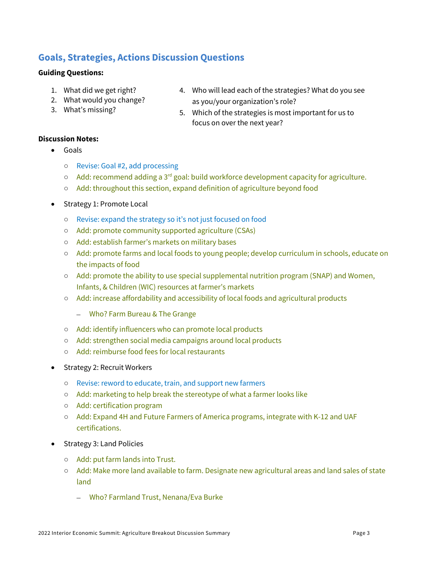## **Goals, Strategies, Actions Discussion Questions**

#### **Guiding Questions:**

- 1. What did we get right?
- 2. What would you change?
- 3. What's missing?
- 4. Who will lead each of the strategies? What do you see as you/your organization's role?
- 5. Which of the strategies is most important for us to focus on over the next year?

#### **Discussion Notes:** • Goals

- Revise: Goal #2, add processing
- $\circ$  Add: recommend adding a 3<sup>rd</sup> goal: build workforce development capacity for agriculture.
- Add: throughout this section, expand definition of agriculture beyond food
- Strategy 1: Promote Local
	- Revise: expand the strategy so it's not just focused on food
	- Add: promote community supported agriculture (CSAs)
	- Add: establish farmer's markets on military bases
	- Add: promote farms and local foods to young people; develop curriculum in schools, educate on the impacts of food
	- Add: promote the ability to use special supplemental nutrition program (SNAP) and Women, Infants, & Children (WIC) resources at farmer's markets
	- Add: increase affordability and accessibility of local foods and agricultural products
		- Who? Farm Bureau & The Grange
	- Add: identify influencers who can promote local products
	- Add: strengthen social media campaigns around local products
	- Add: reimburse food fees for local restaurants
- Strategy 2: Recruit Workers
	- Revise: reword to educate, train, and support new farmers
	- Add: marketing to help break the stereotype of what a farmer looks like
	- Add: certification program
	- Add: Expand 4H and Future Farmers of America programs, integrate with K-12 and UAF certifications.
- Strategy 3: Land Policies
	- Add: put farm lands into Trust.
	- Add: Make more land available to farm. Designate new agricultural areas and land sales of state land
		- Who? Farmland Trust, Nenana/Eva Burke